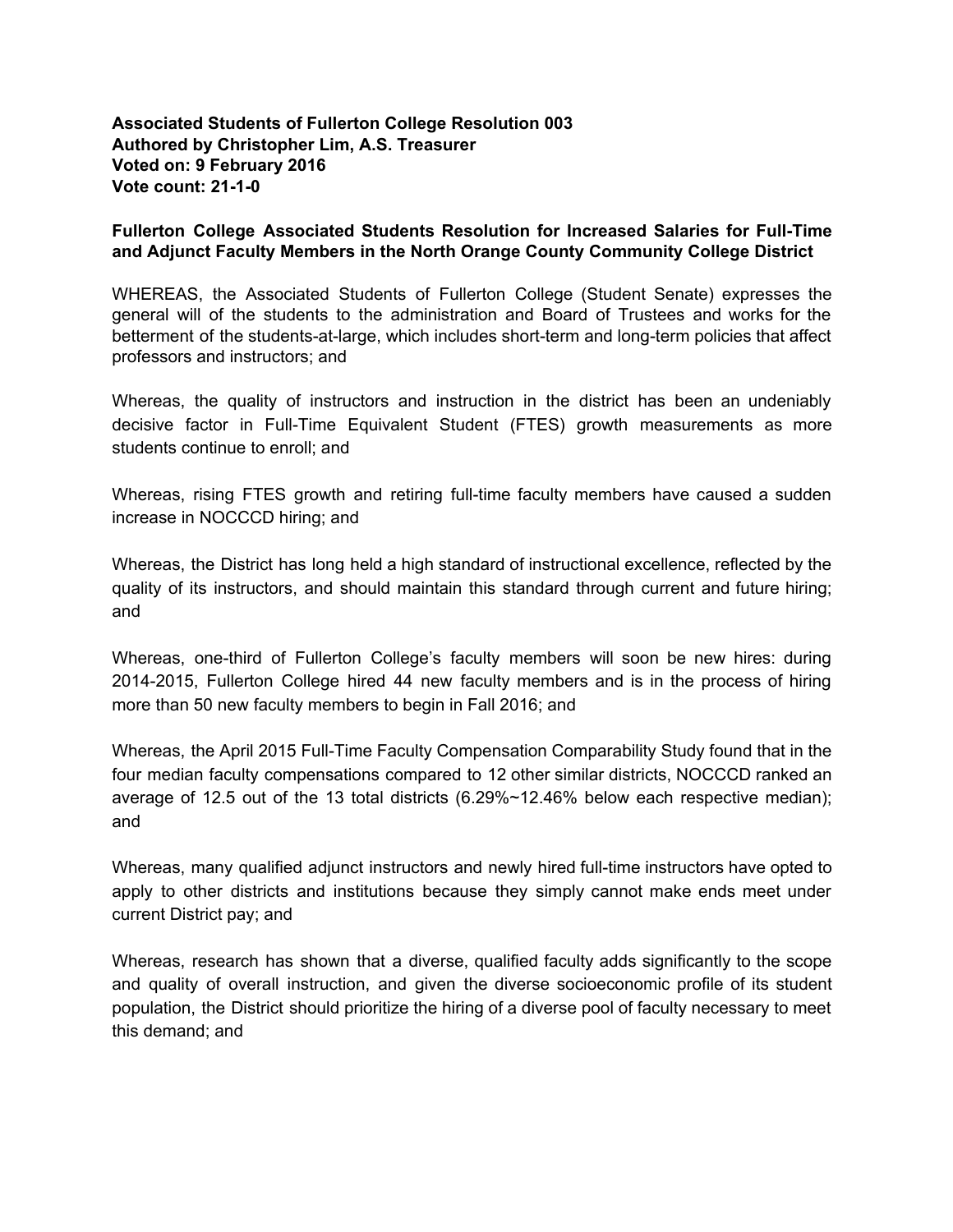**Associated Students of Fullerton College Resolution 003 Authored by Christopher Lim, A.S. Treasurer Voted on: 9 February 2016 Vote count: 21-1-0** 

## **Fullerton College Associated Students Resolution for Increased Salaries for Full-Time and Adjunct Faculty Members in the North Orange County Community College District**

WHEREAS, the Associated Students of Fullerton College (Student Senate) expresses the general will of the students to the administration and Board of Trustees and works for the betterment of the students-at-large, which includes short-term and long-term policies that affect professors and instructors; and

Whereas, the quality of instructors and instruction in the district has been an undeniably decisive factor in Full-Time Equivalent Student (FTES) growth measurements as more students continue to enroll; and

Whereas, rising FTES growth and retiring full-time faculty members have caused a sudden increase in NOCCCD hiring; and

Whereas, the District has long held a high standard of instructional excellence, reflected by the quality of its instructors, and should maintain this standard through current and future hiring; and

Whereas, one-third of Fullerton College's faculty members will soon be new hires: during 2014-2015, Fullerton College hired 44 new faculty members and is in the process of hiring more than 50 new faculty members to begin in Fall 2016; and

Whereas, the April 2015 Full-Time Faculty Compensation Comparability Study found that in the four median faculty compensations compared to 12 other similar districts, NOCCCD ranked an average of 12.5 out of the 13 total districts (6.29%~12.46% below each respective median); and

Whereas, many qualified adjunct instructors and newly hired full-time instructors have opted to apply to other districts and institutions because they simply cannot make ends meet under current District pay; and

Whereas, research has shown that a diverse, qualified faculty adds significantly to the scope and quality of overall instruction, and given the diverse socioeconomic profile of its student population, the District should prioritize the hiring of a diverse pool of faculty necessary to meet this demand; and